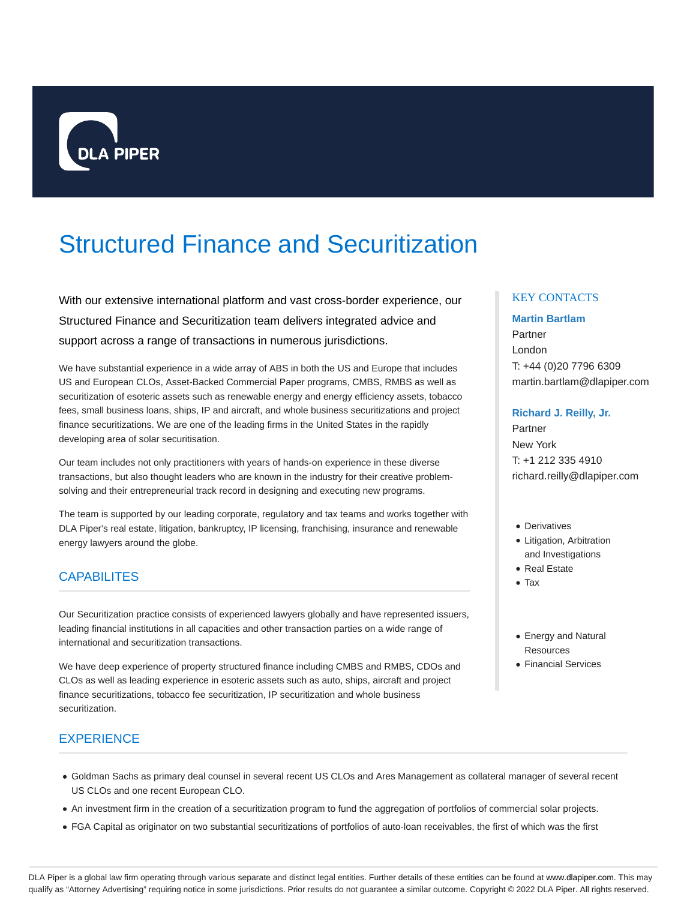

# Structured Finance and Securitization

With our extensive international platform and vast cross-border experience, our Structured Finance and Securitization team delivers integrated advice and support across a range of transactions in numerous jurisdictions.

We have substantial experience in a wide array of ABS in both the US and Europe that includes US and European CLOs, Asset-Backed Commercial Paper programs, CMBS, RMBS as well as securitization of esoteric assets such as renewable energy and energy efficiency assets, tobacco fees, small business loans, ships, IP and aircraft, and whole business securitizations and project finance securitizations. We are one of the leading firms in the United States in the rapidly developing area of solar securitisation.

Our team includes not only practitioners with years of hands-on experience in these diverse transactions, but also thought leaders who are known in the industry for their creative problemsolving and their entrepreneurial track record in designing and executing new programs.

The team is supported by our leading corporate, regulatory and tax teams and works together with DLA Piper's real estate, litigation, bankruptcy, IP licensing, franchising, insurance and renewable energy lawyers around the globe.

# **CAPABILITES**

Our Securitization practice consists of experienced lawyers globally and have represented issuers, leading financial institutions in all capacities and other transaction parties on a wide range of international and securitization transactions.

We have deep experience of property structured finance including CMBS and RMBS, CDOs and CLOs as well as leading experience in esoteric assets such as auto, ships, aircraft and project finance securitizations, tobacco fee securitization, IP securitization and whole business securitization.

# **EXPERIENCE**

## Goldman Sachs as primary deal counsel in several recent US CLOs and Ares Management as collateral manager of several recent US CLOs and one recent European CLO.

- An investment firm in the creation of a securitization program to fund the aggregation of portfolios of commercial solar projects.
- FGA Capital as originator on two substantial securitizations of portfolios of auto-loan receivables, the first of which was the first

## KEY CONTACTS

## **Martin Bartlam**

Partner London T: +44 (0)20 7796 6309 martin.bartlam@dlapiper.com

## **Richard J. Reilly, Jr.**

Partner New York T: +1 212 335 4910 richard.reilly@dlapiper.com

- Derivatives
- Litigation, Arbitration and Investigations
- Real Estate
- Tax
- Energy and Natural **Resources**
- Financial Services

DLA Piper is a global law firm operating through various separate and distinct legal entities. Further details of these entities can be found at www.dlapiper.com. This may qualify as "Attorney Advertising" requiring notice in some jurisdictions. Prior results do not guarantee a similar outcome. Copyright @ 2022 DLA Piper. All rights reserved.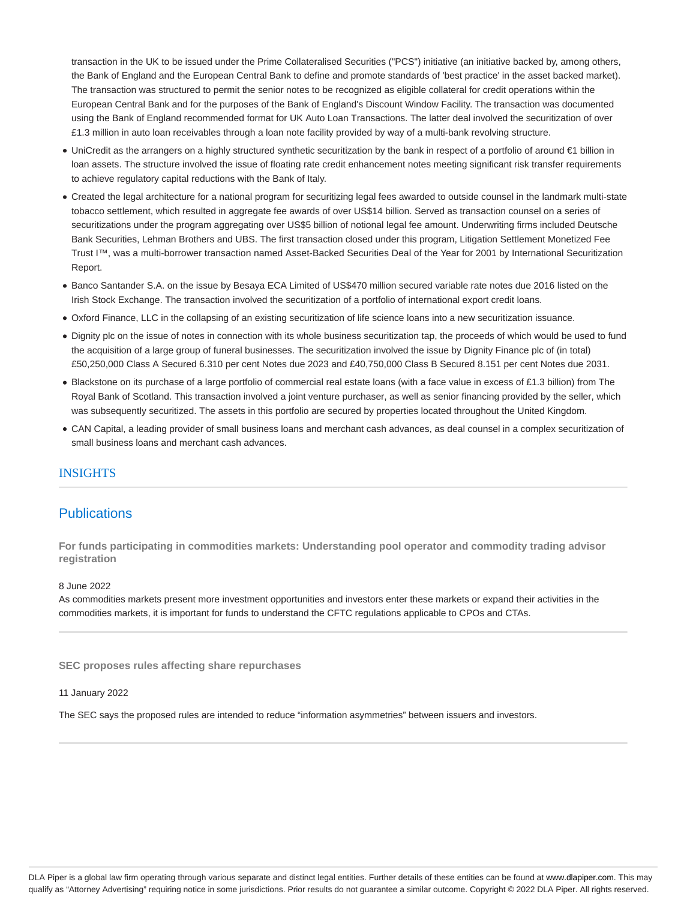transaction in the UK to be issued under the Prime Collateralised Securities ("PCS") initiative (an initiative backed by, among others, the Bank of England and the European Central Bank to define and promote standards of 'best practice' in the asset backed market). The transaction was structured to permit the senior notes to be recognized as eligible collateral for credit operations within the European Central Bank and for the purposes of the Bank of England's Discount Window Facility. The transaction was documented using the Bank of England recommended format for UK Auto Loan Transactions. The latter deal involved the securitization of over £1.3 million in auto loan receivables through a loan note facility provided by way of a multi-bank revolving structure.

- UniCredit as the arrangers on a highly structured synthetic securitization by the bank in respect of a portfolio of around €1 billion in loan assets. The structure involved the issue of floating rate credit enhancement notes meeting significant risk transfer requirements to achieve regulatory capital reductions with the Bank of Italy.
- Created the legal architecture for a national program for securitizing legal fees awarded to outside counsel in the landmark multi-state tobacco settlement, which resulted in aggregate fee awards of over US\$14 billion. Served as transaction counsel on a series of securitizations under the program aggregating over US\$5 billion of notional legal fee amount. Underwriting firms included Deutsche Bank Securities, Lehman Brothers and UBS. The first transaction closed under this program, Litigation Settlement Monetized Fee Trust I™, was a multi-borrower transaction named Asset-Backed Securities Deal of the Year for 2001 by International Securitization Report.
- Banco Santander S.A. on the issue by Besaya ECA Limited of US\$470 million secured variable rate notes due 2016 listed on the Irish Stock Exchange. The transaction involved the securitization of a portfolio of international export credit loans.
- Oxford Finance, LLC in the collapsing of an existing securitization of life science loans into a new securitization issuance.
- Dignity plc on the issue of notes in connection with its whole business securitization tap, the proceeds of which would be used to fund the acquisition of a large group of funeral businesses. The securitization involved the issue by Dignity Finance plc of (in total) £50,250,000 Class A Secured 6.310 per cent Notes due 2023 and £40,750,000 Class B Secured 8.151 per cent Notes due 2031.
- Blackstone on its purchase of a large portfolio of commercial real estate loans (with a face value in excess of £1.3 billion) from The Royal Bank of Scotland. This transaction involved a joint venture purchaser, as well as senior financing provided by the seller, which was subsequently securitized. The assets in this portfolio are secured by properties located throughout the United Kingdom.
- CAN Capital, a leading provider of small business loans and merchant cash advances, as deal counsel in a complex securitization of small business loans and merchant cash advances.

## INSIGHTS

## **Publications**

**For funds participating in commodities markets: Understanding pool operator and commodity trading advisor registration**

#### 8 June 2022

As commodities markets present more investment opportunities and investors enter these markets or expand their activities in the commodities markets, it is important for funds to understand the CFTC regulations applicable to CPOs and CTAs.

**SEC proposes rules affecting share repurchases**

## 11 January 2022

The SEC says the proposed rules are intended to reduce "information asymmetries" between issuers and investors.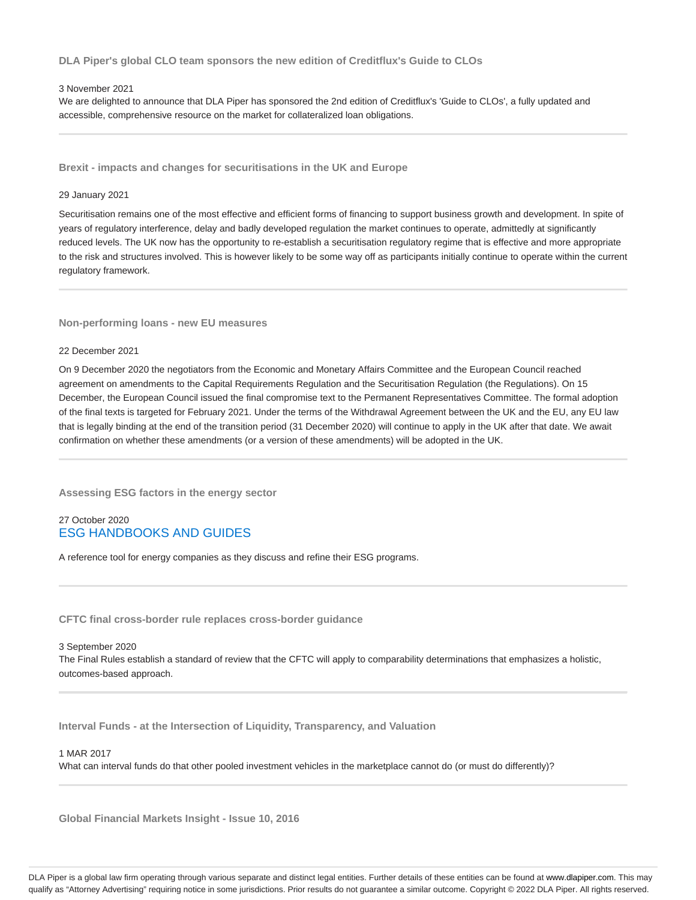**DLA Piper's global CLO team sponsors the new edition of Creditflux's Guide to CLOs**

## 3 November 2021

We are delighted to announce that DLA Piper has sponsored the 2nd edition of Creditflux's 'Guide to CLOs', a fully updated and accessible, comprehensive resource on the market for collateralized loan obligations.

**Brexit - impacts and changes for securitisations in the UK and Europe**

#### 29 January 2021

Securitisation remains one of the most effective and efficient forms of financing to support business growth and development. In spite of years of regulatory interference, delay and badly developed regulation the market continues to operate, admittedly at significantly reduced levels. The UK now has the opportunity to re-establish a securitisation regulatory regime that is effective and more appropriate to the risk and structures involved. This is however likely to be some way off as participants initially continue to operate within the current regulatory framework.

#### **Non-performing loans - new EU measures**

#### 22 December 2021

On 9 December 2020 the negotiators from the Economic and Monetary Affairs Committee and the European Council reached agreement on amendments to the Capital Requirements Regulation and the Securitisation Regulation (the Regulations). On 15 December, the European Council issued the final compromise text to the Permanent Representatives Committee. The formal adoption of the final texts is targeted for February 2021. Under the terms of the Withdrawal Agreement between the UK and the EU, any EU law that is legally binding at the end of the transition period (31 December 2020) will continue to apply in the UK after that date. We await confirmation on whether these amendments (or a version of these amendments) will be adopted in the UK.

**Assessing ESG factors in the energy sector**

## 27 October 2020 ESG HANDBOOKS AND GUIDES

A reference tool for energy companies as they discuss and refine their ESG programs.

**CFTC final cross-border rule replaces cross-border guidance**

3 September 2020 The Final Rules establish a standard of review that the CFTC will apply to comparability determinations that emphasizes a holistic, outcomes-based approach.

**Interval Funds - at the Intersection of Liquidity, Transparency, and Valuation**

## 1 MAR 2017

What can interval funds do that other pooled investment vehicles in the marketplace cannot do (or must do differently)?

**Global Financial Markets Insight - Issue 10, 2016**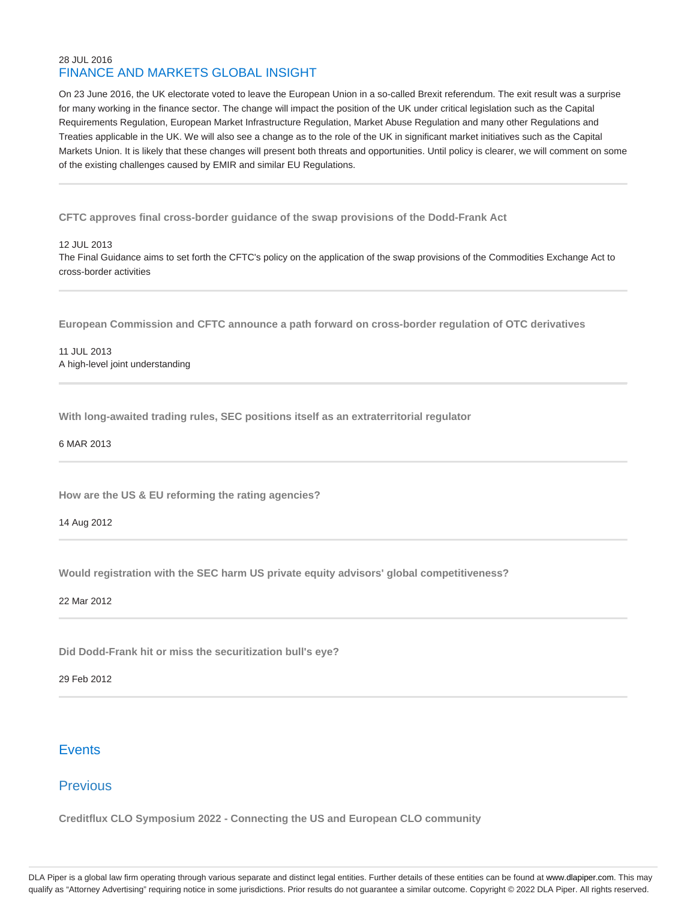## 28 JUL 2016 FINANCE AND MARKETS GLOBAL INSIGHT

On 23 June 2016, the UK electorate voted to leave the European Union in a so-called Brexit referendum. The exit result was a surprise for many working in the finance sector. The change will impact the position of the UK under critical legislation such as the Capital Requirements Regulation, European Market Infrastructure Regulation, Market Abuse Regulation and many other Regulations and Treaties applicable in the UK. We will also see a change as to the role of the UK in significant market initiatives such as the Capital Markets Union. It is likely that these changes will present both threats and opportunities. Until policy is clearer, we will comment on some of the existing challenges caused by EMIR and similar EU Regulations.

**CFTC approves final cross-border guidance of the swap provisions of the Dodd-Frank Act**

12 JUL 2013

The Final Guidance aims to set forth the CFTC's policy on the application of the swap provisions of the Commodities Exchange Act to cross-border activities

**European Commission and CFTC announce a path forward on cross-border regulation of OTC derivatives**

11 JUL 2013 A high-level joint understanding

**With long-awaited trading rules, SEC positions itself as an extraterritorial regulator**

6 MAR 2013

**How are the US & EU reforming the rating agencies?**

14 Aug 2012

**Would registration with the SEC harm US private equity advisors' global competitiveness?**

22 Mar 2012

**Did Dodd-Frank hit or miss the securitization bull's eye?**

29 Feb 2012

# **Events**

# Previous

**Creditflux CLO Symposium 2022 - Connecting the US and European CLO community**

DLA Piper is a global law firm operating through various separate and distinct legal entities. Further details of these entities can be found at www.dlapiper.com. This may qualify as "Attorney Advertising" requiring notice in some jurisdictions. Prior results do not guarantee a similar outcome. Copyright @ 2022 DLA Piper. All rights reserved.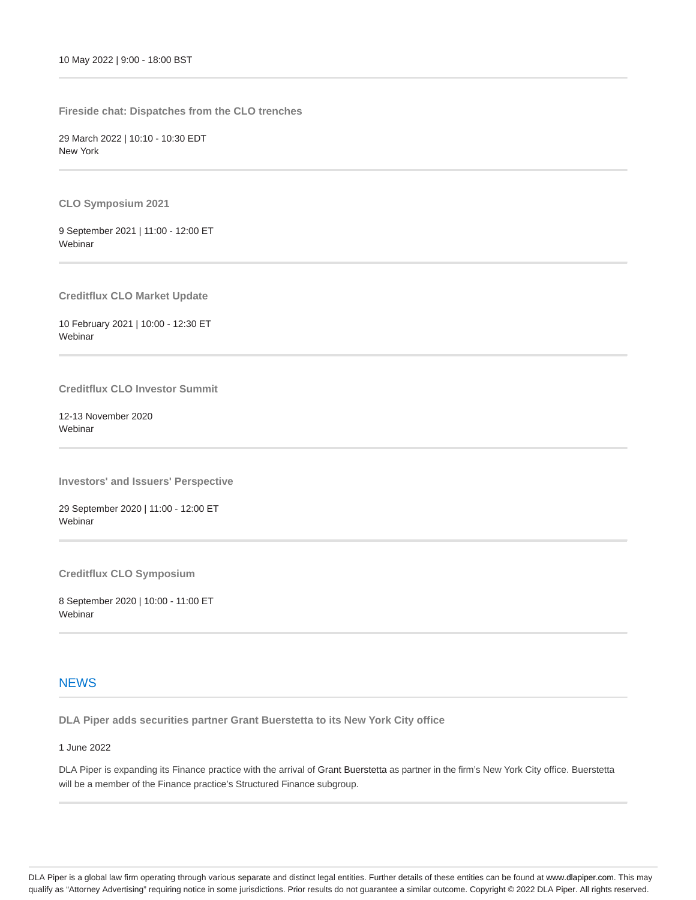**Fireside chat: Dispatches from the CLO trenches**

29 March 2022 | 10:10 - 10:30 EDT New York

**CLO Symposium 2021**

9 September 2021 | 11:00 - 12:00 ET **Webinar** 

**Creditflux CLO Market Update**

10 February 2021 | 10:00 - 12:30 ET Webinar

**Creditflux CLO Investor Summit**

12-13 November 2020 **Webinar** 

**Investors' and Issuers' Perspective**

29 September 2020 | 11:00 - 12:00 ET **Webinar** 

**Creditflux CLO Symposium**

8 September 2020 | 10:00 - 11:00 ET Webinar

# **NEWS**

**DLA Piper adds securities partner Grant Buerstetta to its New York City office**

1 June 2022

DLA Piper is expanding its Finance practice with the arrival of Grant Buerstetta as partner in the firm's New York City office. Buerstetta will be a member of the Finance practice's Structured Finance subgroup.

DLA Piper is a global law firm operating through various separate and distinct legal entities. Further details of these entities can be found at www.dlapiper.com. This may qualify as "Attorney Advertising" requiring notice in some jurisdictions. Prior results do not guarantee a similar outcome. Copyright © 2022 DLA Piper. All rights reserved.